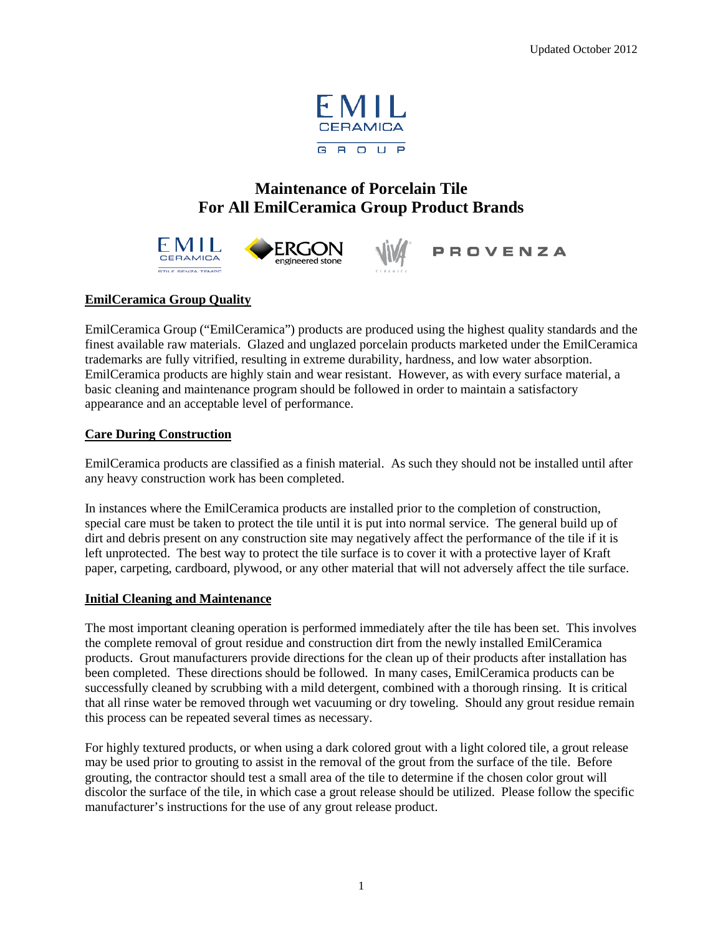

# **Maintenance of Porcelain Tile For All EmilCeramica Group Product Brands**



## **EmilCeramica Group Quality**

EmilCeramica Group ("EmilCeramica") products are produced using the highest quality standards and the finest available raw materials. Glazed and unglazed porcelain products marketed under the EmilCeramica trademarks are fully vitrified, resulting in extreme durability, hardness, and low water absorption. EmilCeramica products are highly stain and wear resistant. However, as with every surface material, a basic cleaning and maintenance program should be followed in order to maintain a satisfactory appearance and an acceptable level of performance.

## **Care During Construction**

EmilCeramica products are classified as a finish material. As such they should not be installed until after any heavy construction work has been completed.

In instances where the EmilCeramica products are installed prior to the completion of construction, special care must be taken to protect the tile until it is put into normal service. The general build up of dirt and debris present on any construction site may negatively affect the performance of the tile if it is left unprotected. The best way to protect the tile surface is to cover it with a protective layer of Kraft paper, carpeting, cardboard, plywood, or any other material that will not adversely affect the tile surface.

#### **Initial Cleaning and Maintenance**

The most important cleaning operation is performed immediately after the tile has been set. This involves the complete removal of grout residue and construction dirt from the newly installed EmilCeramica products. Grout manufacturers provide directions for the clean up of their products after installation has been completed. These directions should be followed. In many cases, EmilCeramica products can be successfully cleaned by scrubbing with a mild detergent, combined with a thorough rinsing. It is critical that all rinse water be removed through wet vacuuming or dry toweling. Should any grout residue remain this process can be repeated several times as necessary.

For highly textured products, or when using a dark colored grout with a light colored tile, a grout release may be used prior to grouting to assist in the removal of the grout from the surface of the tile. Before grouting, the contractor should test a small area of the tile to determine if the chosen color grout will discolor the surface of the tile, in which case a grout release should be utilized. Please follow the specific manufacturer's instructions for the use of any grout release product.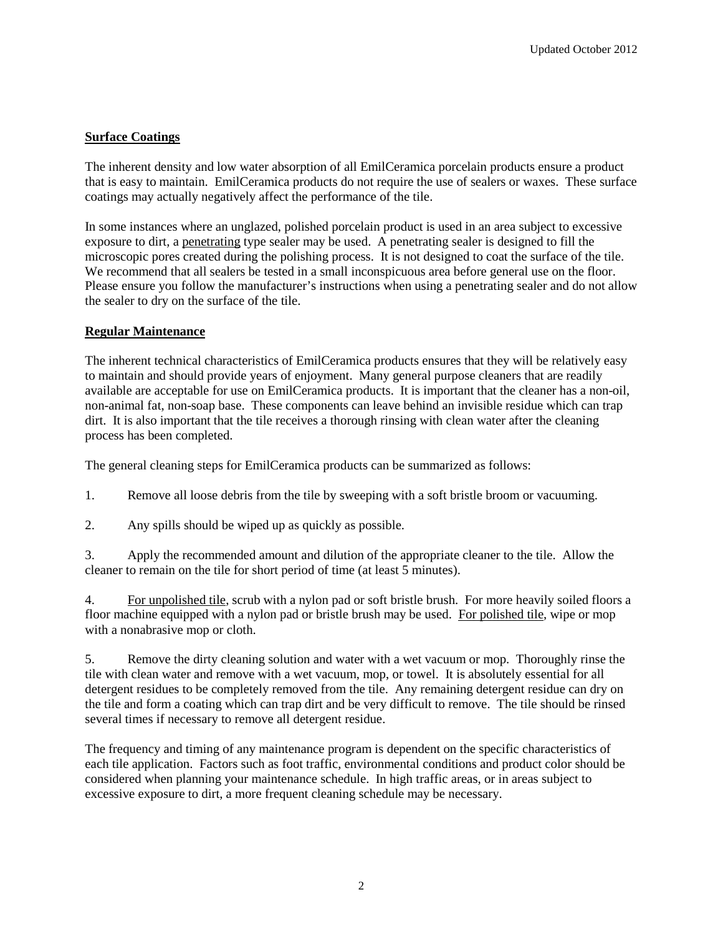## **Surface Coatings**

The inherent density and low water absorption of all EmilCeramica porcelain products ensure a product that is easy to maintain. EmilCeramica products do not require the use of sealers or waxes. These surface coatings may actually negatively affect the performance of the tile.

In some instances where an unglazed, polished porcelain product is used in an area subject to excessive exposure to dirt, a penetrating type sealer may be used. A penetrating sealer is designed to fill the microscopic pores created during the polishing process. It is not designed to coat the surface of the tile. We recommend that all sealers be tested in a small inconspicuous area before general use on the floor. Please ensure you follow the manufacturer's instructions when using a penetrating sealer and do not allow the sealer to dry on the surface of the tile.

## **Regular Maintenance**

The inherent technical characteristics of EmilCeramica products ensures that they will be relatively easy to maintain and should provide years of enjoyment. Many general purpose cleaners that are readily available are acceptable for use on EmilCeramica products. It is important that the cleaner has a non-oil, non-animal fat, non-soap base. These components can leave behind an invisible residue which can trap dirt. It is also important that the tile receives a thorough rinsing with clean water after the cleaning process has been completed.

The general cleaning steps for EmilCeramica products can be summarized as follows:

1. Remove all loose debris from the tile by sweeping with a soft bristle broom or vacuuming.

2. Any spills should be wiped up as quickly as possible.

3. Apply the recommended amount and dilution of the appropriate cleaner to the tile. Allow the cleaner to remain on the tile for short period of time (at least 5 minutes).

4. For unpolished tile, scrub with a nylon pad or soft bristle brush. For more heavily soiled floors a floor machine equipped with a nylon pad or bristle brush may be used. For polished tile, wipe or mop with a nonabrasive mop or cloth.

5. Remove the dirty cleaning solution and water with a wet vacuum or mop. Thoroughly rinse the tile with clean water and remove with a wet vacuum, mop, or towel. It is absolutely essential for all detergent residues to be completely removed from the tile. Any remaining detergent residue can dry on the tile and form a coating which can trap dirt and be very difficult to remove. The tile should be rinsed several times if necessary to remove all detergent residue.

The frequency and timing of any maintenance program is dependent on the specific characteristics of each tile application. Factors such as foot traffic, environmental conditions and product color should be considered when planning your maintenance schedule. In high traffic areas, or in areas subject to excessive exposure to dirt, a more frequent cleaning schedule may be necessary.